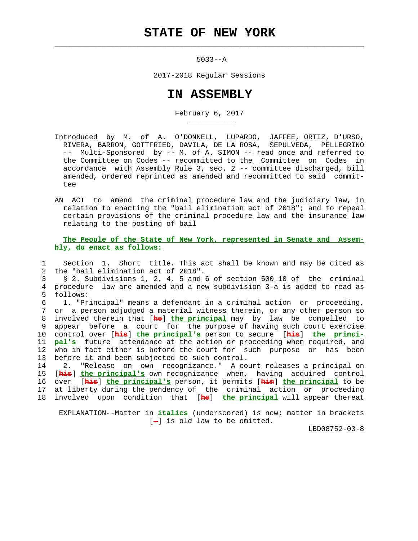$\mathcal{L}_\text{max} = \frac{1}{2} \sum_{i=1}^{n} \frac{1}{2} \sum_{i=1}^{n} \frac{1}{2} \sum_{i=1}^{n} \frac{1}{2} \sum_{i=1}^{n} \frac{1}{2} \sum_{i=1}^{n} \frac{1}{2} \sum_{i=1}^{n} \frac{1}{2} \sum_{i=1}^{n} \frac{1}{2} \sum_{i=1}^{n} \frac{1}{2} \sum_{i=1}^{n} \frac{1}{2} \sum_{i=1}^{n} \frac{1}{2} \sum_{i=1}^{n} \frac{1}{2} \sum_{i=1}^{n} \frac{1$ 

\_\_\_\_\_\_\_\_\_\_\_

5033--A

2017-2018 Regular Sessions

## **IN ASSEMBLY**

February 6, 2017

- Introduced by M. of A. O'DONNELL, LUPARDO, JAFFEE, ORTIZ, D'URSO, RIVERA, BARRON, GOTTFRIED, DAVILA, DE LA ROSA, SEPULVEDA, PELLEGRINO -- Multi-Sponsored by -- M. of A. SIMON -- read once and referred to the Committee on Codes -- recommitted to the Committee on Codes in accordance with Assembly Rule 3, sec. 2 -- committee discharged, bill amended, ordered reprinted as amended and recommitted to said commit tee
- AN ACT to amend the criminal procedure law and the judiciary law, in relation to enacting the "bail elimination act of 2018"; and to repeal certain provisions of the criminal procedure law and the insurance law relating to the posting of bail

 **The People of the State of New York, represented in Senate and Assem bly, do enact as follows:**

 1 Section 1. Short title. This act shall be known and may be cited as 2 the "bail elimination act of 2018".

 3 § 2. Subdivisions 1, 2, 4, 5 and 6 of section 500.10 of the criminal 4 procedure law are amended and a new subdivision 3-a is added to read as 5 follows:

 6 1. "Principal" means a defendant in a criminal action or proceeding, 7 or a person adjudged a material witness therein, or any other person so 8 involved therein that [**he**] **the principal** may by law be compelled to 9 appear before a court for the purpose of having such court exercise 10 control over [**his**] **the principal's** person to secure [**his**] **the princi-** 11 **pal's** future attendance at the action or proceeding when required, and 12 who in fact either is before the court for such purpose or has been 13 before it and been subjected to such control.

 14 2. "Release on own recognizance." A court releases a principal on 15 [**his**] **the principal's** own recognizance when, having acquired control 16 over [**his**] **the principal's** person, it permits [**him**] **the principal** to be 17 at liberty during the pendency of the criminal action or proceeding 18 involved upon condition that [**he**] **the principal** will appear thereat

 EXPLANATION--Matter in **italics** (underscored) is new; matter in brackets  $[-]$  is old law to be omitted.

LBD08752-03-8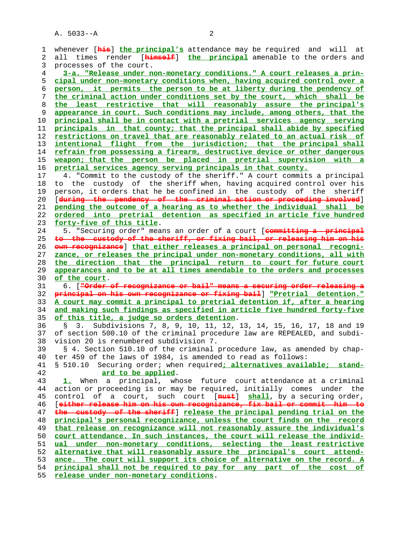| 1        | whenever [his] the principal's attendance may be required and will at                                                                         |
|----------|-----------------------------------------------------------------------------------------------------------------------------------------------|
| 2        | all times render [himself] the principal amenable to the orders and                                                                           |
| 3        | processes of the court.                                                                                                                       |
| 4        | 3-a. "Release under non-monetary conditions." A court releases a prin-                                                                        |
| 5        | cipal under non-monetary conditions when, having acquired control over a                                                                      |
| 6        | person, it permits the person to be at liberty during the pendency of                                                                         |
| 7        | the criminal action under conditions set by the court, which shall be                                                                         |
| 8        | the least restrictive that will reasonably assure the principal's                                                                             |
| 9        | appearance in court. Such conditions may include, among others, that the                                                                      |
| $10$     | principal shall be in contact with a pretrial services agency serving                                                                         |
| 11       | principals in that county; that the principal shall abide by specified                                                                        |
| 12       | restrictions on travel that are reasonably related to an actual risk of                                                                       |
| 13       | intentional flight from the jurisdiction; that the principal shall                                                                            |
| 14       | refrain from possessing a firearm, destructive device or other dangerous                                                                      |
| 15       | weapon; that the person be placed in pretrial supervision with a                                                                              |
| 16       | pretrial services agency serving principals in that county.                                                                                   |
| 17       | 4. "Commit to the custody of the sheriff." A court commits a principal                                                                        |
| 18       | to the custody of the sheriff when, having acquired control over his                                                                          |
| 19       | person, it orders that he be confined in the custody of the sheriff                                                                           |
| 20       | [during the pendency of the criminal action or proceeding involved]                                                                           |
| 21       | pending the outcome of a hearing as to whether the individual shall be                                                                        |
| 22       | ordered into pretrial detention as specified in article five hundred                                                                          |
| 23       | forty-five of this title.                                                                                                                     |
| 24       | 5. "Securing order" means an order of a court [committing a principal                                                                         |
| 25       | to the custody of the sheriff, or fixing bail, or releasing him on his                                                                        |
| 26       | own recognizance [ that either releases a principal on personal recogni-                                                                      |
| 27       | zance, or releases the principal under non-monetary conditions, all with                                                                      |
| 28       | the direction that the principal return to court for future court                                                                             |
| 29       | appearances and to be at all times amendable to the orders and processes                                                                      |
| 30       | of the court.                                                                                                                                 |
| 31       | 6. ["Order of recognizance or bail" means a securing order releasing a                                                                        |
| 32       | principal on his own recognizance or fixing bail   "Pretrial detention."                                                                      |
| 33       | A court may commit a principal to pretrial detention if, after a hearing                                                                      |
| 34       | and making such findings as specified in article five hundred forty-five                                                                      |
| 35       | of this title, a judge so orders detention.                                                                                                   |
| 36       | Subdivisions 7, 8, 9, 10, 11, 12, 13, 14, 15, 16, 17, 18 and 19<br>3.<br>Š.                                                                   |
| 37       | of section 500.10 of the criminal procedure law are REPEALED, and subdi-                                                                      |
| 38       | vision 20 is renumbered subdivision 7.                                                                                                        |
| 39       | § 4. Section 510.10 of the criminal procedure law, as amended by chap-                                                                        |
| 40       | ter 459 of the laws of 1984, is amended to read as follows:                                                                                   |
| 41       | § 510.10 Securing order; when required; alternatives available; stand-                                                                        |
| 42       | ard to be applied.                                                                                                                            |
| 43       | 1. When a principal, whose future court attendance at a criminal                                                                              |
| 44       | action or proceeding is or may be required, initially comes under the                                                                         |
| 45       | control of a court, such court [ <b>must</b> ] shall, by a securing order,                                                                    |
| 46       |                                                                                                                                               |
|          |                                                                                                                                               |
|          | [either release him on his own recognizance, fix bail or commit him to                                                                        |
| 47       | the custody of the sheriff] release the principal pending trial on the                                                                        |
| 48       | principal's personal recognizance, unless the court finds on the record                                                                       |
| 49       | that release on recognizance will not reasonably assure the individual's                                                                      |
| 50       | court attendance. In such instances, the court will release the individ-                                                                      |
| 51       | ual under non-monetary conditions, selecting the least restrictive                                                                            |
| 52       | alternative that will reasonably assure the principal's court attend-                                                                         |
| 53<br>54 | ance. The court will support its choice of alternative on the record. A<br>principal shall not be required to pay for any part of the cost of |

<u>onetary conditions</u>.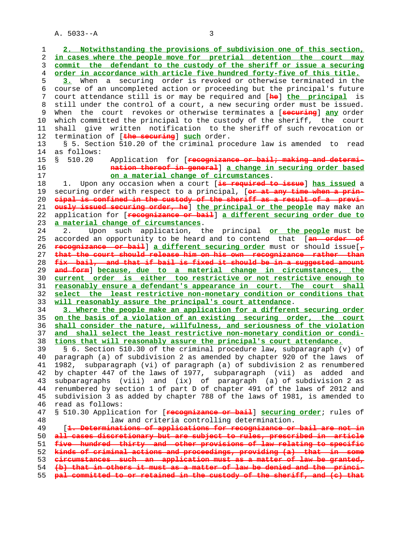1 **2. Notwithstanding the provisions of subdivision one of this section,** 2 **in cases where the people move for pretrial detention the court may** 3 **commit the defendant to the custody of the sheriff or issue a securing** 4 **order in accordance with article five hundred forty-five of this title.** 5 **3.** When a securing order is revoked or otherwise terminated in the 6 course of an uncompleted action or proceeding but the principal's future 7 court attendance still is or may be required and [**he**] **the principal** is 8 still under the control of a court, a new securing order must be issued. 9 When the court revokes or otherwise terminates a [**securing**] **any** order 10 which committed the principal to the custody of the sheriff, the court 11 shall give written notification to the sheriff of such revocation or 12 termination of [**the securing**] **such** order. 13 § 5. Section 510.20 of the criminal procedure law is amended to read 14 as follows: 15 § 510.20 Application for [**recognizance or bail; making and determi-** 16 **nation thereof in general**] **a change in securing order based** 17 **on a material change of circumstances**. 18 1. Upon any occasion when a court [**is required to issue**] **has issued** a 19 securing order with respect to a principal, [**or at any time when a prin-** 20 **cipal is confined in the custody of the sheriff as a result of a previ-** 21 **ously issued securing order, he**] **the principal or the people** may make an 22 application for [**recognizance or bail**] **a different securing order due to** 23 **a material change of circumstances**. 24 2. Upon such application, the principal **or the people** must be 25 accorded an opportunity to be heard and to contend that [**an order of** 26 **recognizance or bail**] **a different securing order** must or should issue[**,** 27 **that the court should release him on his own recognizance rather than** 28 **fix bail, and that if bail is fixed it should be in a suggested amount** 29 **and form**] **because, due to a material change in circumstances, the** 30 **current order is either too restrictive or not restrictive enough to** 31 **reasonably ensure a defendant's appearance in court. The court shall** 32 **select the least restrictive non-monetary condition or conditions that** 33 **will reasonably assure the principal's court attendance**. 34 **3. Where the people make an application for a different securing order** 35 **on the basis of a violation of an existing securing order, the court** 36 **shall consider the nature, willfulness, and seriousness of the violation** 37 **and shall select the least restrictive non-monetary condition or condi-** 38 **tions that will reasonably assure the principal's court attendance.** 39 § 6. Section 510.30 of the criminal procedure law, subparagraph (v) of 40 paragraph (a) of subdivision 2 as amended by chapter 920 of the laws of 41 1982, subparagraph (vi) of paragraph (a) of subdivision 2 as renumbered 42 by chapter 447 of the laws of 1977, subparagraph (vii) as added and 43 subparagraphs (viii) and (ix) of paragraph (a) of subdivision 2 as 44 renumbered by section 1 of part D of chapter 491 of the laws of 2012 and 45 subdivision 3 as added by chapter 788 of the laws of 1981, is amended to 46 read as follows: 47 § 510.30 Application for [**recognizance or bail**] **securing order**; rules of 48 law and criteria controlling determination. 49 [**1. Determinations of applications for recognizance or bail are not in** 50 **all cases discretionary but are subject to rules, prescribed in article** 51 **five hundred thirty and other provisions of law relating to specific** 52 **kinds of criminal actions and proceedings, providing (a) that in some** 53 **circumstances such an application must as a matter of law be granted,** 54 **(b) that in others it must as a matter of law be denied and the princi-** 55 **pal committed to or retained in the custody of the sheriff, and (c) that**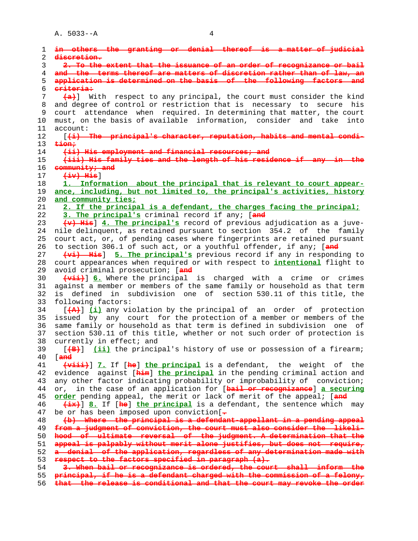| 2. To the extent that the issuance of an order of recognizance or bail          |
|---------------------------------------------------------------------------------|
| and the terms thereof are matters of discretion rather than of law, an          |
| application is determined on the basis of the following factors and             |
| eriteria:                                                                       |
| (a) With respect to any principal, the court must consider the kind             |
| and degree of control or restriction that is necessary to secure his            |
| attendance when required. In determining that matter, the court<br>court        |
| must, on the basis of available information, consider and take into             |
| account:                                                                        |
| [(i) The principal's character, reputation, habits and mental condi-            |
| tion:                                                                           |
| (ii) His employment and financial resources; and                                |
| (iii) His family ties and the length of his residence if<br><del>anv</del>      |
| community, and                                                                  |
| $(iv)$ His                                                                      |
| 1. Information about the principal that is relevant to court appear-            |
| ance, including, but not limited to, the principal's activities, history        |
|                                                                                 |
| and community ties;                                                             |
| 2. If the principal is a defendant, the charges facing the principal;           |
| 3. The principal's criminal record if any; [and                                 |
| (v) His ] 4. The principal's record of previous adjudication as a juve-         |
| nile delinquent, as retained pursuant to section 354.2 of the family            |
| court act, or, of pending cases where fingerprints are retained pursuant        |
| to section 306.1 of such act, or a youthful offender, if any; [and              |
| (vi) His ] 5. The principal's previous record if any in responding to           |
| court appearances when required or with respect to <i>intentional</i> flight to |
| avoid criminal prosecution; [and                                                |
| (vii) 6. Where the principal is charged with a crime or crimes                  |
| against a member or members of the same family or household as that term        |
| defined in subdivision one of section 530.11 of this title, the<br>is           |
| following factors:                                                              |
| $(\mathbf{A})$ (i) any violation by the principal of an order of protection     |
| issued by any court for the protection of a member or members of the            |
| same family or household as that term is defined in subdivision one of          |
| section 530.11 of this title, whether or not such order of protection is        |
| currently in effect; and                                                        |
| [(B) (ii) the principal's history of use or possession of a firearm;            |
| a <sub>nd</sub>                                                                 |
| (viii) 7. If [he] the principal is a defendant, the weight of the               |
| evidence against [ <i>him]</i> the principal in the pending criminal action and |
| any other factor indicating probability or improbability of conviction;         |
|                                                                                 |
| in the case of an application for [bail or recognizance] a securing<br>or,      |
| order pending appeal, the merit or lack of merit of the appeal; [and            |
| (ix) 3. If [he] the principal is a defendant, the sentence which may            |
| be or has been imposed upon conviction $\frac{1}{1}$                            |
| (b) Where the principal is a defendant-appellant in a pending appeal            |
| from a judgment of conviction, the court must also consider the likeli-         |
| hood of ultimate reversal of the judgment. A determination that the             |
| appeal is palpably without merit alone justifies, but does not require,         |
| a denial of the application, regardless of any determination made with          |
| respect to the factors specified in paragraph (a).                              |
| 3. When bail or recognizance is ordered, the court shall inform                 |

56 **that the release is conditional and that the court may revoke the order**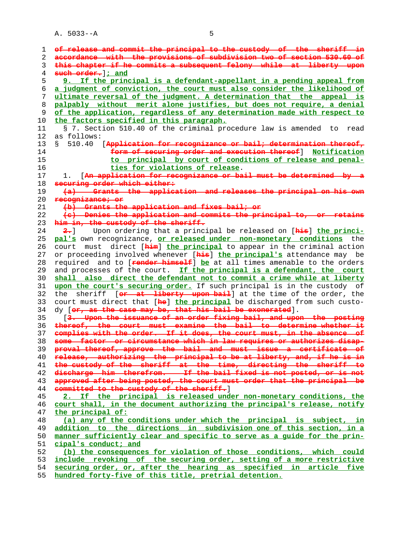**of release and commit the principal to the custody of the sheriff in accordance with the provisions of subdivision two of section 530.60 of this chapter if he commits a subsequent felony while at liberty upon such order.**]**; and 9. If the principal is a defendant-appellant in a pending appeal from a judgment of conviction, the court must also consider the likelihood of ultimate reversal of the judgment. A determination that the appeal is palpably without merit alone justifies, but does not require, a denial of the application, regardless of any determination made with respect to the factors specified in this paragraph.** 11 § 7. Section 510.40 of the criminal procedure law is amended to read 12 as follows: 13 § 510.40 [**Application for recognizance or bail; determination thereof, form of securing order and execution thereof**] **Notification to principal by court of conditions of release and penal- ties for violations of release**. 17 1. [**An application for recognizance or bail must be determined by a securing order which either: (a) Grants the application and releases the principal on his own recognizance; or (b) Grants the application and fixes bail; or (c) Denies the application and commits the principal to, or retains him in, the custody of the sheriff. 2.**] Upon ordering that a principal be released on [**his**] **the princi- pal's** own recognizance, **or released under non-monetary conditions** the 26 court must direct [**him**] **the principal** to appear in the criminal action 27 or proceeding involved whenever [**his**] **the principal's** attendance may be 28 required and to [**render himself**] **be** at all times amenable to the orders 29 and processes of the court. **If the principal is a defendant, the court shall also direct the defendant not to commit a crime while at liberty upon the court's securing order.** If such principal is in the custody of 32 the sheriff [**or at liberty upon bail**] at the time of the order, the 33 court must direct that [**he**] **the principal** be discharged from such custo- 34 dy [**or, as the case may be, that his bail be exonerated**]. 35 [**3. Upon the issuance of an order fixing bail, and upon the posting thereof, the court must examine the bail to determine whether it complies with the order. If it does, the court must, in the absence of some factor or circumstance which in law requires or authorizes disap- proval thereof, approve the bail and must issue a certificate of release, authorizing the principal to be at liberty, and, if he is in the custody of the sheriff at the time, directing the sheriff to discharge him therefrom. If the bail fixed is not posted, or is not approved after being posted, the court must order that the principal be committed to the custody of the sheriff.**] **2. If the principal is released under non-monetary conditions, the court shall, in the document authorizing the principal's release, notify the principal of: (a) any of the conditions under which the principal is subject, in addition to the directions in subdivision one of this section, in a manner sufficiently clear and specific to serve as a guide for the prin- cipal's conduct; and (b) the consequences for violation of those conditions, which could include revoking of the securing order, setting of a more restrictive securing order, or, after the hearing as specified in article five**

**hundred forty-five of this title, pretrial detention.**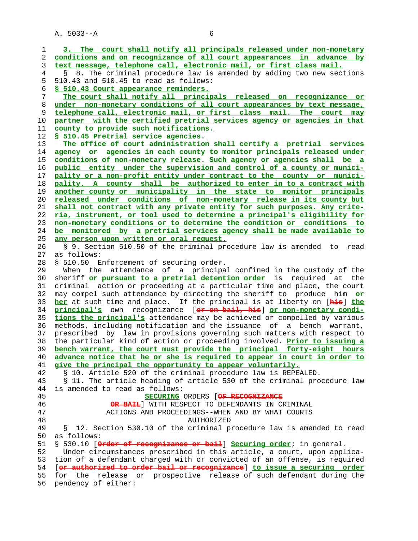1 **3. The court shall notify all principals released under non-monetary** 2 **conditions and on recognizance of all court appearances in advance by** 3 **text message, telephone call, electronic mail, or first class mail.** 4 § 8. The criminal procedure law is amended by adding two new sections 5 510.43 and 510.45 to read as follows: 6 **§ 510.43 Court appearance reminders.** 7 **The court shall notify all principals released on recognizance or** 8 **under non-monetary conditions of all court appearances by text message,** 9 **telephone call, electronic mail, or first class mail. The court may** 10 **partner with the certified pretrial services agency or agencies in that** 11 **county to provide such notifications.** 12 **§ 510.45 Pretrial service agencies.** 13 **The office of court administration shall certify a pretrial services** 14 **agency or agencies in each county to monitor principals released under** 15 **conditions of non-monetary release. Such agency or agencies shall be a** 16 **public entity under the supervision and control of a county or munici-** 17 **pality or a non-profit entity under contract to the county or munici-** 18 **pality. A county shall be authorized to enter in to a contract with** 19 **another county or municipality in the state to monitor principals** 20 **released under conditions of non-monetary release in its county but** 21 **shall not contract with any private entity for such purposes. Any crite-** 22 **ria, instrument, or tool used to determine a principal's eligibility for** 23 **non-monetary conditions or to determine the condition or conditions to** 24 **be monitored by a pretrial services agency shall be made available to** 25 **any person upon written or oral request.** 26 § 9. Section 510.50 of the criminal procedure law is amended to read 27 as follows: 28 § 510.50 Enforcement of securing order. 29 When the attendance of a principal confined in the custody of the 30 sheriff **or pursuant to a pretrial detention order** is required at the 31 criminal action or proceeding at a particular time and place, the court 32 may compel such attendance by directing the sheriff to produce him **or** 33 **her** at such time and place. If the principal is at liberty on [**his**] **the** 34 **principal's** own recognizance [**or on bail, his**] **or non-monetary condi-** 35 **tions the principal's** attendance may be achieved or compelled by various 36 methods, including notification and the issuance of a bench warrant, 37 prescribed by law in provisions governing such matters with respect to 38 the particular kind of action or proceeding involved. **Prior to issuing a** 39 **bench warrant, the court must provide the principal forty-eight hours** 40 **advance notice that he or she is required to appear in court in order to** 41 **give the principal the opportunity to appear voluntarily.** 42 § 10. Article 520 of the criminal procedure law is REPEALED. 43 § 11. The article heading of article 530 of the criminal procedure law 44 is amended to read as follows: 45 **SECURING** ORDERS [**OF RECOGNIZANCE** 46 **OR BAIL**] WITH RESPECT TO DEFENDANTS IN CRIMINAL 47 ACTIONS AND PROCEEDINGS--WHEN AND BY WHAT COURTS 48 AUTHORIZED<br>49 § 12. Section 530.10 of the criminal p § 12. Section 530.10 of the criminal procedure law is amended to read 50 as follows: 51 § 530.10 [**Order of recognizance or bail**] **Securing order**; in general. 52 Under circumstances prescribed in this article, a court, upon applica- 53 tion of a defendant charged with or convicted of an offense, is required 54 [**or authorized to order bail or recognizance**] **to issue a securing order** 55 for the release or prospective release of such defendant during the 56 pendency of either: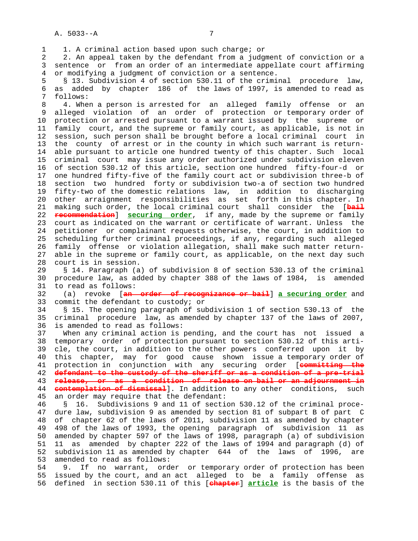1 1. A criminal action based upon such charge; or

 2 2. An appeal taken by the defendant from a judgment of conviction or a 3 sentence or from an order of an intermediate appellate court affirming 4 or modifying a judgment of conviction or a sentence.

 5 § 13. Subdivision 4 of section 530.11 of the criminal procedure law, 6 as added by chapter 186 of the laws of 1997, is amended to read as 7 follows:

 8 4. When a person is arrested for an alleged family offense or an alleged violation of an order of protection or temporary order of 10 protection or arrested pursuant to a warrant issued by the supreme or 11 family court, and the supreme or family court, as applicable, is not in 12 session, such person shall be brought before a local criminal court in 13 the county of arrest or in the county in which such warrant is return- 14 able pursuant to article one hundred twenty of this chapter. Such local 15 criminal court may issue any order authorized under subdivision eleven 16 of section 530.12 of this article, section one hundred fifty-four-d or 17 one hundred fifty-five of the family court act or subdivision three-b of 18 section two hundred forty or subdivision two-a of section two hundred 19 fifty-two of the domestic relations law, in addition to discharging 20 other arraignment responsibilities as set forth in this chapter. In 21 making such order, the local criminal court shall consider the [**bail** 22 **recommendation**] **securing order**, if any, made by the supreme or family 23 court as indicated on the warrant or certificate of warrant. Unless the 24 petitioner or complainant requests otherwise, the court, in addition to 25 scheduling further criminal proceedings, if any, regarding such alleged 26 family offense or violation allegation, shall make such matter return- 27 able in the supreme or family court, as applicable, on the next day such 28 court is in session.

 29 § 14. Paragraph (a) of subdivision 8 of section 530.13 of the criminal 30 procedure law, as added by chapter 388 of the laws of 1984, is amended 31 to read as follows:

 32 (a) revoke [**an order of recognizance or bail**] **a securing order** and 33 commit the defendant to custody; or

 34 § 15. The opening paragraph of subdivision 1 of section 530.13 of the 35 criminal procedure law, as amended by chapter 137 of the laws of 2007, 36 is amended to read as follows:

 37 When any criminal action is pending, and the court has not issued a 38 temporary order of protection pursuant to section 530.12 of this arti- 39 cle, the court, in addition to the other powers conferred upon it by 40 this chapter, may for good cause shown issue a temporary order of 41 protection in conjunction with any securing order [**committing the** 42 **defendant to the custody of the sheriff or as a condition of a pre-trial** 43 **release, or as a condition of release on bail or an adjournment in** 44 **contemplation of dismissal**]. In addition to any other conditions, such 45 an order may require that the defendant:

 46 § 16. Subdivisions 9 and 11 of section 530.12 of the criminal proce- 47 dure law, subdivision 9 as amended by section 81 of subpart B of part C 48 of chapter 62 of the laws of 2011, subdivision 11 as amended by chapter 49 498 of the laws of 1993, the opening paragraph of subdivision 11 as 50 amended by chapter 597 of the laws of 1998, paragraph (a) of subdivision 51 11 as amended by chapter 222 of the laws of 1994 and paragraph (d) of 52 subdivision 11 as amended by chapter 644 of the laws of 1996, are 53 amended to read as follows:

 54 9. If no warrant, order or temporary order of protection has been 55 issued by the court, and an act alleged to be a family offense as 56 defined in section 530.11 of this [**chapter**] **article** is the basis of the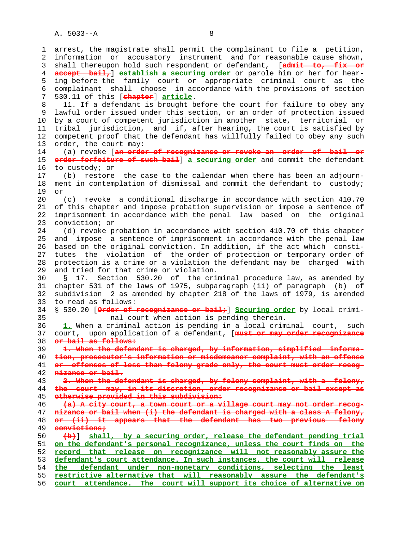1 arrest, the magistrate shall permit the complainant to file a petition, 2 information or accusatory instrument and for reasonable cause shown, 3 shall thereupon hold such respondent or defendant, [**admit to, fix or** 4 **accept bail,**] **establish a securing order** or parole him or her for hear- 5 ing before the family court or appropriate criminal court as the 6 complainant shall choose in accordance with the provisions of section 7 530.11 of this [**chapter**] **article**. 8 11. If a defendant is brought before the court for failure to obey any<br>9 lawful order issued under this section, or an order of protection issued lawful order issued under this section, or an order of protection issued 10 by a court of competent jurisdiction in another state, territorial or 11 tribal jurisdiction, and if, after hearing, the court is satisfied by 12 competent proof that the defendant has willfully failed to obey any such 13 order, the court may: 14 (a) revoke [**an order of recognizance or revoke an order of bail or** 15 **order forfeiture of such bail**] **a securing order** and commit the defendant 16 to custody; or 17 (b) restore the case to the calendar when there has been an adjourn- 18 ment in contemplation of dismissal and commit the defendant to custody; 19 or 20 (c) revoke a conditional discharge in accordance with section 410.70 21 of this chapter and impose probation supervision or impose a sentence of 22 imprisonment in accordance with the penal law based on the original 23 conviction; or 24 (d) revoke probation in accordance with section 410.70 of this chapter 25 and impose a sentence of imprisonment in accordance with the penal law 26 based on the original conviction. In addition, if the act which consti- 27 tutes the violation of the order of protection or temporary order of 28 protection is a crime or a violation the defendant may be charged with 29 and tried for that crime or violation. 30 § 17. Section 530.20 of the criminal procedure law, as amended by 31 chapter 531 of the laws of 1975, subparagraph (ii) of paragraph (b) of 32 subdivision 2 as amended by chapter 218 of the laws of 1979, is amended 33 to read as follows: 34 § 530.20 [**Order of recognizance or bail;**] **Securing order** by local crimi- 35 nal court when action is pending therein. 36 **1.** When a criminal action is pending in a local criminal court, such 37 court, upon application of a defendant, [**must or may order recognizance** 38 **or bail as follows:** 39 **1. When the defendant is charged, by information, simplified informa-** 40 **tion, prosecutor's information or misdemeanor complaint, with an offense** 41 **or offenses of less than felony grade only, the court must order recog-** 42 **nizance or bail.** 43 **2. When the defendant is charged, by felony complaint, with a felony,** 44 **the court may, in its discretion, order recognizance or bail except as** 45 **otherwise provided in this subdivision:** 46 **(a) A city court, a town court or a village court may not order recog-** 47 **nizance or bail when (i) the defendant is charged with a class A felony,** 48 **or (ii) it appears that the defendant has two previous felony** 49 **convictions;** 50 **(b)**] **shall, by a securing order, release the defendant pending trial** 51 **on the defendant's personal recognizance, unless the court finds on the** 52 **record that release on recognizance will not reasonably assure the** 53 **defendant's court attendance. In such instances, the court will release** 54 **the defendant under non-monetary conditions, selecting the least** 55 **restrictive alternative that will reasonably assure the defendant's** 56 **court attendance. The court will support its choice of alternative on**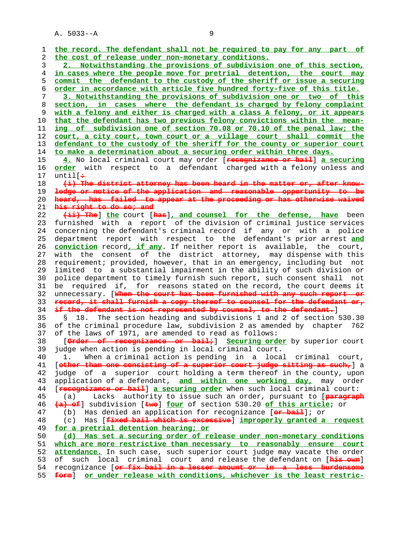| 1  | the record. The defendant shall not be required to pay for any part of                 |
|----|----------------------------------------------------------------------------------------|
| 2  | the cost of release under non-monetary conditions.                                     |
| 3  | 2. Notwithstanding the provisions of subdivision one of this section,                  |
| 4  | in cases where the people move for pretrial detention, the court may                   |
| 5  | commit the defendant to the custody of the sheriff or issue a securing                 |
| 6  | order in accordance with article five hundred forty-five of this title.                |
| 7  | 3. Notwithstanding the provisions of subdivision one or two of this                    |
|    |                                                                                        |
| 8  | section, in cases where the defendant is charged by felony complaint                   |
| 9  | with a felony and either is charged with a class A felony, or it appears               |
| 10 | that the defendant has two previous felony convictions within the mean-                |
| 11 | ing of subdivision one of section 70.08 or 70.10 of the penal law; the                 |
| 12 | court, a city court, town court or a village court shall commit the                    |
| 13 | defendant to the custody of the sheriff for the county or superior court               |
| 14 | to make a determination about a securing order within three days.                      |
| 15 | 4. No local criminal court may order [recognizance or bail] a securing                 |
| 16 | order with respect to a defendant charged with a felony unless and                     |
| 17 | until $[$ +                                                                            |
| 18 | (i) The district attorney has been heard in the matter or, after know-                 |
| 19 | ledge or notice of the application and reasonable opportunity to be                    |
| 20 | heard, has failed to appear at the proceeding or has otherwise waived                  |
| 21 | his right to do so, and                                                                |
|    |                                                                                        |
| 22 | (ii) The court [has], and counsel for the defense, have been                           |
| 23 | furnished with a report of the division of criminal justice services                   |
| 24 | concerning the defendant's criminal record if any or with a police                     |
| 25 | department report with respect to the defendant's prior arrest and                     |
| 26 | conviction record, if any. If neither report is available, the court,                  |
| 27 | with the consent of the district attorney, may dispense with this                      |
| 28 | requirement; provided, however, that in an emergency, including but not                |
| 29 | limited to a substantial impairment in the ability of such division or                 |
| 30 | police department to timely furnish such report, such consent shall not                |
| 31 | required if, for reasons stated on the record, the court deems it<br>be                |
| 32 | unnecessary. [When the court has been furnished with any such report or                |
| 33 | record, it shall furnish a copy thereof to counsel for the defendant or,               |
| 34 | if the defendant is not represented by counsel, to the defendant. ]                    |
| 35 | The section heading and subdivisions 1 and 2 of section 530.30<br>18.<br>$\mathbb{S}$  |
| 36 | of the criminal procedure law, subdivision 2 as amended by chapter<br>762              |
|    |                                                                                        |
| 37 | of the laws of 1971, are amended to read as follows:                                   |
| 38 | [Order of recognizance or bail; Securing order by superior court                       |
| 39 | judge when action is pending in local criminal court.                                  |
| 40 | When a criminal action is pending in a local criminal court,<br>1.                     |
| 41 | [other than one consisting of a superior court judge sitting as such,] a               |
| 42 | judge of a superior court holding a term thereof in the county, upon                   |
| 43 | application of a defendant, and within one working day, may order                      |
| 44 | [recognizance or bail] a securing order when such local criminal court:                |
| 45 | Lacks authority to issue such an order, pursuant to [paragraph<br>(a)                  |
| 46 | (a) of subdivision [two] four of section 530.20 of this article; or                    |
| 47 | Has denied an application for recognizance [or bail]; or<br>(b)                        |
| 48 | Has [fixed bail which is excessive] improperly granted a request<br>(c)                |
| 49 | for a pretrial detention hearing; or                                                   |
| 50 |                                                                                        |
|    | (d) Has set a securing order of release under non-monetary conditions                  |
| 51 | which are more restrictive than necessary to reasonably ensure court                   |
| 52 | attendance. In such case, such superior court judge may vacate the order               |
| 53 | such local criminal court and release the defendant on [his own]<br>of                 |
| 54 | recognizance [or fix bail in a lesser amount or in a less burdensome                   |
| 55 | or under release with conditions, whichever is the least restric-<br><del>form</del> ] |
|    |                                                                                        |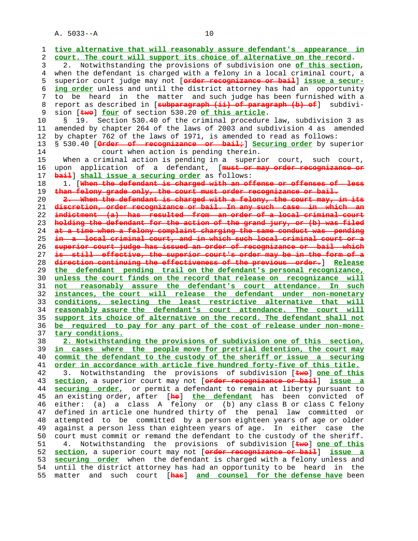1 **tive alternative that will reasonably assure defendant's appearance in** 2 **court. The court will support its choice of alternative on the record**. 3 2. Notwithstanding the provisions of subdivision one **of this section**, 4 when the defendant is charged with a felony in a local criminal court, a 5 superior court judge may not [**order recognizance or bail**] **issue a secur-** 6 **ing order** unless and until the district attorney has had an opportunity 7 to be heard in the matter and such judge has been furnished with a 8 report as described in [**subparagraph (ii) of paragraph (b) of**] subdivi- 9 sion [**two**] **four** of section 530.20 **of this article**. 10 § 19. Section 530.40 of the criminal procedure law, subdivision 3 as 11 amended by chapter 264 of the laws of 2003 and subdivision 4 as amended 12 by chapter 762 of the laws of 1971, is amended to read as follows: 13 § 530.40 [**Order of recognizance or bail;**] **Securing order** by superior 14 court when action is pending therein. 15 When a criminal action is pending in a superior court, such court, 16 upon application of a defendant, [**must or may order recognizance or** 17 **bail**] **shall issue a securing order** as follows: 18 1. [**When the defendant is charged with an offense or offenses of less** 19 **than felony grade only, the court must order recognizance or bail.** 20 **2. When the defendant is charged with a felony, the court may, in its** 21 **discretion, order recognizance or bail. In any such case in which an** 22 **indictment (a) has resulted from an order of a local criminal court** 23 **holding the defendant for the action of the grand jury, or (b) was filed** 24 **at a time when a felony complaint charging the same conduct was pending** 25 **in a local criminal court, and in which such local criminal court or a** 26 **superior court judge has issued an order of recognizance or bail which** 27 **is still effective, the superior court's order may be in the form of a** 28 **direction continuing the effectiveness of the previous order.**] **Release** 29 **the defendant pending trail on the defendant's personal recognizance,** 30 **unless the court finds on the record that release on recognizance will** 31 **not reasonably assure the defendant's court attendance. In such** 32 **instances, the court will release the defendant under non-monetary** 33 **conditions, selecting the least restrictive alternative that will** 34 **reasonably assure the defendant's court attendance. The court will** 35 **support its choice of alternative on the record. The defendant shall not** 36 **be required to pay for any part of the cost of release under non-mone-** 37 **tary conditions.** 38 **2. Notwithstanding the provisions of subdivision one of this section,** 39 **in cases where the people move for pretrial detention, the court may** 40 **commit the defendant to the custody of the sheriff or issue a securing** 41 **order in accordance with article five hundred forty-five of this title.** 42 3. Notwithstanding the provisions of subdivision [**two**] **one of this** 43 **section**, a superior court may not [**order recognizance or bail**] **issue a** 44 **securing order**, or permit a defendant to remain at liberty pursuant to 45 an existing order, after [**he**] **the defendant** has been convicted of 46 either: (a) a class A felony or (b) any class B or class C felony 47 defined in article one hundred thirty of the penal law committed or 48 attempted to be committed by a person eighteen years of age or older 49 against a person less than eighteen years of age. In either case the 50 court must commit or remand the defendant to the custody of the sheriff. 51 4. Notwithstanding the provisions of subdivision [**two**] **one of this** 52 **section**, a superior court may not [**order recognizance or bail**] **issue a** 53 **securing order** when the defendant is charged with a felony unless and 54 until the district attorney has had an opportunity to be heard in the 55 matter and such court [**has**] **and counsel for the defense have** been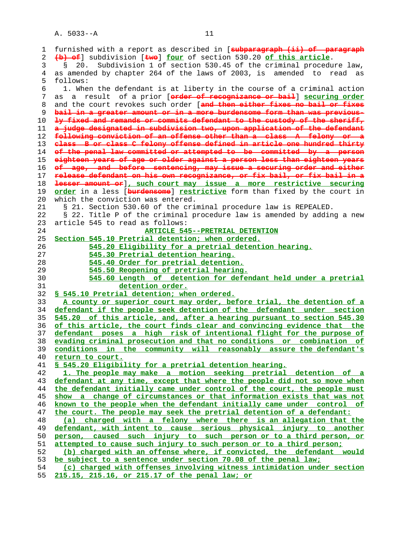| 1  | furnished with a report as described in [oubparagraph (ii) of paragraph             |
|----|-------------------------------------------------------------------------------------|
| 2  | (b) of subdivision [two] four of section 530.20 of this article.                    |
| 3  | 20. Subdivision 1 of section 530.45 of the criminal procedure law,<br>$\mathcal{S}$ |
| 4  | as amended by chapter 264 of the laws of 2003, is amended to read as                |
|    | follows:                                                                            |
| 5  |                                                                                     |
| 6  | 1. When the defendant is at liberty in the course of a criminal action              |
| 7  | result of a prior [order of recognizance or bail] securing order<br>as<br>a         |
| 8  | and the court revokes such order [and then either fixes no bail or fixes            |
| 9  | bail in a greater amount or in a more burdensome form than was previous-            |
| 10 | ly fixed and remands or commits defendant to the custody of the sheriff,            |
| 11 | a judge designated in subdivision two, upon application of the defendant            |
| 12 | following conviction of an offense other than a class A felony or a                 |
| 13 | class B or class C felony offense defined in article one hundred thirty             |
| 14 | of the penal law committed or attempted to be committed by a person                 |
| 15 | eighteen years of age or older against a person less than eighteen years            |
| 16 | of age, and before sentencing, may issue a securing order and either                |
| 17 | release defendant on his own recognizance, or fix bail, or fix bail in a            |
| 18 | lesser amount or], such court may issue a more restrictive securing                 |
| 19 | order in a less [burdensome] restrictive form than fixed by the court in            |
| 20 | which the conviction was entered.                                                   |
| 21 | § 21. Section 530.60 of the criminal procedure law is REPEALED.                     |
| 22 | § 22. Title P of the criminal procedure law is amended by adding a new              |
|    | article 545 to read as follows:                                                     |
| 23 |                                                                                     |
| 24 | <b>ARTICLE 545--PRETRIAL DETENTION</b>                                              |
| 25 | Section 545.10 Pretrial detention; when ordered.                                    |
| 26 | 545.20 Eligibility for a pretrial detention hearing.                                |
| 27 | 545.30 Pretrial detention hearing.                                                  |
| 28 | 545.40 Order for pretrial detention.                                                |
| 29 | 545.50 Reopening of pretrial hearing.                                               |
| 30 | 545.60 Length of detention for defendant held under a pretrial                      |
| 31 | detention order.                                                                    |
| 32 | § 545.10 Pretrial detention; when ordered.                                          |
| 33 | A county or superior court may order, before trial, the detention of a              |
| 34 | defendant if the people seek detention of the defendant under section               |
| 35 | 545.20 of this article, and, after a hearing pursuant to section 545.30             |
| 36 | of this article, the court finds clear and convincing evidence that the             |
| 37 | defendant poses a high risk of intentional flight for the purpose of                |
| 38 | evading criminal prosecution and that no conditions or combination of               |
| 39 | conditions in the community will reasonably assure the defendant's                  |
| 40 | return to court.                                                                    |
| 41 | § 545.20 Eligibility for a pretrial detention hearing.                              |
| 42 | 1. The people may make a motion seeking pretrial detention of a                     |
| 43 | defendant at any time, except that where the people did not so move when            |
| 44 | the defendant initially came under control of the court, the people must            |
| 45 | show a change of circumstances or that information exists that was not              |
| 46 | known to the people when the defendant initially came under control of              |
| 47 | the court. The people may seek the pretrial detention of a defendant:               |
| 48 | (a) charged with a felony where there is an allegation that the                     |
| 49 | defendant, with intent to cause serious physical injury to another                  |
| 50 | person, caused such injury to such person or to a third person, or                  |
| 51 | attempted to cause such injury to such person or to a third person;                 |
| 52 | (b) charged with an offense where, if convicted, the defendant would                |
| 53 | be subject to a sentence under section 70.08 of the penal law;                      |
| 54 | (c) charged with offenses involving witness intimidation under section              |
|    |                                                                                     |
| 55 | 215.15, 215.16, or 215.17 of the penal law; or                                      |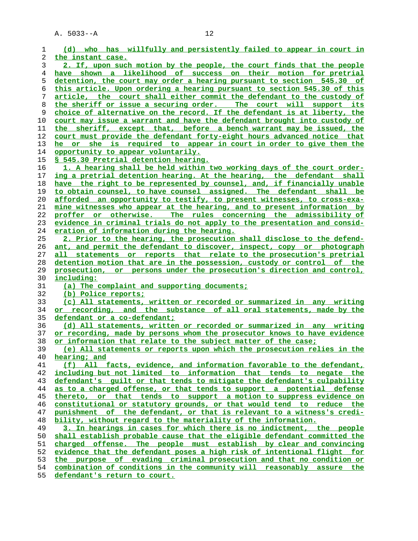**(d) who has willfully and persistently failed to appear in court in the instant case. 2. If, upon such motion by the people, the court finds that the people have shown a likelihood of success on their motion for pretrial detention, the court may order a hearing pursuant to section 545.30 of this article. Upon ordering a hearing pursuant to section 545.30 of this article, the court shall either commit the defendant to the custody of the sheriff or issue a securing order. The court will support its choice of alternative on the record. If the defendant is at liberty, the court may issue a warrant and have the defendant brought into custody of the sheriff, except that, before a bench warrant may be issued, the court must provide the defendant forty-eight hours advanced notice that he or she is required to appear in court in order to give them the opportunity to appear voluntarily. § 545.30 Pretrial detention hearing. 1. A hearing shall be held within two working days of the court order- ing a pretrial detention hearing. At the hearing, the defendant shall have the right to be represented by counsel, and, if financially unable to obtain counsel, to have counsel assigned. The defendant shall be afforded an opportunity to testify, to present witnesses, to cross-exa- mine witnesses who appear at the hearing, and to present information by proffer or otherwise. The rules concerning the admissibility of evidence in criminal trials do not apply to the presentation and consid- eration of information during the hearing. 2. Prior to the hearing, the prosecution shall disclose to the defend- ant, and permit the defendant to discover, inspect, copy or photograph all statements or reports that relate to the prosecution's pretrial detention motion that are in the possession, custody or control of the prosecution, or persons under the prosecution's direction and control, including: (a) The complaint and supporting documents; (b) Police reports; (c) All statements, written or recorded or summarized in any writing or recording, and the substance of all oral statements, made by the**

**defendant or a co-defendant;**

**(d) All statements, written or recorded or summarized in any writing or recording, made by persons whom the prosecutor knows to have evidence or information that relate to the subject matter of the case;**

**(e) All statements or reports upon which the prosecution relies in the hearing; and**

**(f) All facts, evidence, and information favorable to the defendant, including but not limited to information that tends to negate the defendant's guilt or that tends to mitigate the defendant's culpability as to a charged offense, or that tends to support a potential defense thereto, or that tends to support a motion to suppress evidence on constitutional or statutory grounds, or that would tend to reduce the punishment of the defendant, or that is relevant to a witness's credi- bility, without regard to the materiality of the information. 3. In hearings in cases for which there is no indictment, the people**

**shall establish probable cause that the eligible defendant committed the charged offense. The people must establish by clear and convincing evidence that the defendant poses a high risk of intentional flight for the purpose of evading criminal prosecution and that no condition or combination of conditions in the community will reasonably assure the defendant's return to court.**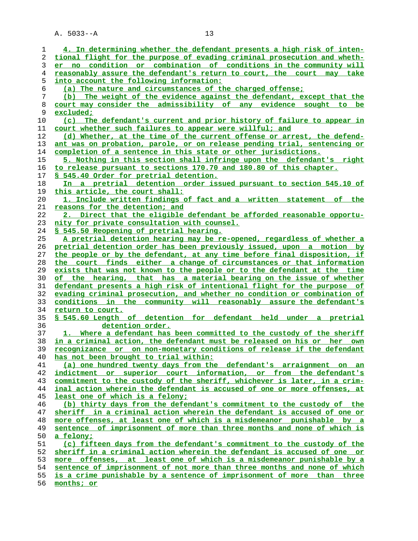**4. In determining whether the defendant presents a high risk of inten- tional flight for the purpose of evading criminal prosecution and wheth- er no condition or combination of conditions in the community will reasonably assure the defendant's return to court, the court may take into account the following information: (a) The nature and circumstances of the charged offense; (b) The weight of the evidence against the defendant, except that the court may consider the admissibility of any evidence sought to be excluded; (c) The defendant's current and prior history of failure to appear in court whether such failures to appear were willful; and (d) Whether, at the time of the current offense or arrest, the defend- ant was on probation, parole, or on release pending trial, sentencing or completion of a sentence in this state or other jurisdictions. 5. Nothing in this section shall infringe upon the defendant's right to release pursuant to sections 170.70 and 180.80 of this chapter. § 545.40 Order for pretrial detention. In a pretrial detention order issued pursuant to section 545.10 of this article, the court shall: 1. Include written findings of fact and a written statement of the reasons for the detention; and 2. Direct that the eligible defendant be afforded reasonable opportu- nity for private consultation with counsel. § 545.50 Reopening of pretrial hearing. A pretrial detention hearing may be re-opened, regardless of whether a pretrial detention order has been previously issued, upon a motion by the people or by the defendant, at any time before final disposition, if the court finds either a change of circumstances or that information exists that was not known to the people or to the defendant at the time of the hearing, that has a material bearing on the issue of whether defendant presents a high risk of intentional flight for the purpose of evading criminal prosecution, and whether no condition or combination of conditions in the community will reasonably assure the defendant's return to court. § 545.60 Length of detention for defendant held under a pretrial detention order. 1. Where a defendant has been committed to the custody of the sheriff in a criminal action, the defendant must be released on his or her own recognizance or on non-monetary conditions of release if the defendant has not been brought to trial within: (a) one hundred twenty days from the defendant's arraignment on an indictment or superior court information, or from the defendant's commitment to the custody of the sheriff, whichever is later, in a crim- inal action wherein the defendant is accused of one or more offenses, at least one of which is a felony; (b) thirty days from the defendant's commitment to the custody of the sheriff in a criminal action wherein the defendant is accused of one or more offenses, at least one of which is a misdemeanor punishable by a sentence of imprisonment of more than three months and none of which is a felony; (c) fifteen days from the defendant's commitment to the custody of the sheriff in a criminal action wherein the defendant is accused of one or more offenses, at least one of which is a misdemeanor punishable by a sentence of imprisonment of not more than three months and none of which is a crime punishable by a sentence of imprisonment of more than three months; or**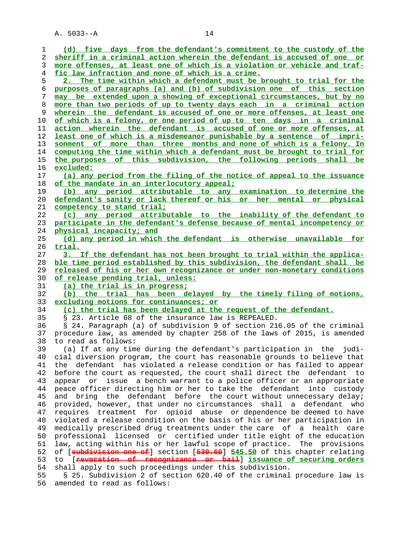| 1        | (d) five days from the defendant's commitment to the custody of the                                   |
|----------|-------------------------------------------------------------------------------------------------------|
| 2        | sheriff in a criminal action wherein the defendant is accused of one or                               |
| 3        | more offenses, at least one of which is a violation or vehicle and traf-                              |
| 4        | fic law infraction and none of which is a crime.                                                      |
| 5        | 2. The time within which a defendant must be brought to trial for the                                 |
| 6        | purposes of paragraphs (a) and (b) of subdivision one of this section                                 |
| 7        | may be extended upon a showing of exceptional circumstances, but by no                                |
| 8        | more than two periods of up to twenty days each in a criminal action                                  |
| 9        | wherein the defendant is accused of one or more offenses, at least one                                |
| 10       | of which is a felony, or one period of up to ten days in a criminal                                   |
| 11       | action wherein the defendant is accused of one or more offenses, at                                   |
| 12       | least one of which is a misdemeanor punishable by a sentence of impri-                                |
| 13       | sonment of more than three months and none of which is a felony. In                                   |
| 14       | computing the time within which a defendant must be brought to trial for                              |
| 15       | the purposes of this subdivision, the following periods shall be                                      |
| 16       | excluded:                                                                                             |
| 17       | (a) any period from the filing of the notice of appeal to the issuance                                |
| 18       | of the mandate in an interlocutory appeal;                                                            |
| 19       | (b) any period attributable to any examination to determine the                                       |
| 20       | defendant's sanity or lack thereof or his or her mental or physical                                   |
| 21       | competency to stand trial;                                                                            |
| 22       | (c) any period attributable to the inability of the defendant to                                      |
| 23       | participate in the defendant's defense because of mental incompetency or                              |
| 24       | physical incapacity; and                                                                              |
| 25       | (d) any period in which the defendant is otherwise unavailable for                                    |
| 26       | trial.                                                                                                |
| 27       | 3. If the defendant has not been brought to trial within the applica-                                 |
| 28       |                                                                                                       |
|          | ble time period established by this subdivision, the defendant shall be                               |
| 29       | released of his or her own recognizance or under non-monetary conditions                              |
| 30       | of release pending trial, unless:                                                                     |
| 31       | (a) the trial is in progress;                                                                         |
| 32       | (b) the trial has been delayed by the timely filing of motions,                                       |
| 33       | excluding motions for continuances; or                                                                |
| 34       | (c) the trial has been delayed at the request of the defendant.                                       |
| 35       | § 23. Article 68 of the insurance law is REPEALED.                                                    |
| 36       | § 24. Paragraph (a) of subdivision 9 of section 216.05 of the criminal                                |
| 37       | procedure law, as amended by chapter 258 of the laws of 2015, is amended                              |
| 38       | to read as follows:                                                                                   |
| 39       | (a) If at any time during the defendant's participation in<br>the<br>-iudi                            |
| 40       | cial diversion program, the court has reasonable grounds to believe that                              |
| 41       | the defendant has violated a release condition or has failed to appear                                |
| 42       | before the court as requested, the court shall direct the defendant<br>to                             |
| 43       | issue a bench warrant to a police officer or an appropriate<br>appear<br>or                           |
| 44       | peace officer directing him or her to take the defendant into custody                                 |
| 45       | and bring the defendant before the court without unnecessary delay;                                   |
| 46       | provided, however, that under no circumstances shall a defendant<br>who                               |
| 47       | requires treatment for opioid abuse or dependence be deemed to have                                   |
| 48       | violated a release condition on the basis of his or her participation in                              |
| 49       | medically prescribed drug treatments under the care of a health care                                  |
| 50       | licensed or certified under title eight of the education<br>professional                              |
| 51       | law, acting within his or her lawful scope of practice. The provisions                                |
| 52       | of [subdivision one of] section [530.60] 545.50 of this chapter relating                              |
| 53       | [revosation of resognizance or bail] issuance of securing orders<br>to                                |
| 54       | shall apply to such proceedings under this subdivision.                                               |
| 55<br>56 | § 25. Subdivision 2 of section 620.40 of the criminal procedure law is<br>amended to read as follows: |